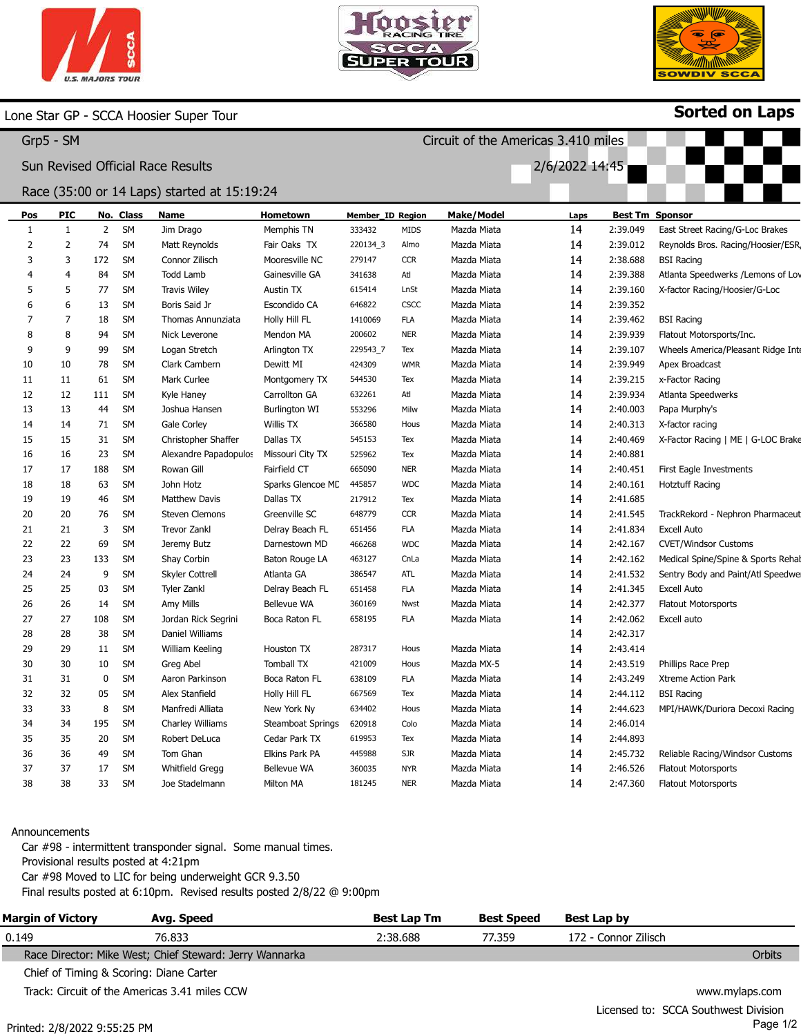





Sorted on Laps

## Lone Star GP - SCCA Hoosier Super Tour

|     | Grp5 - SM      |                |           |                                             |                          |                  |             | Circuit of the Americas 3.410 miles |                |          |                                    |
|-----|----------------|----------------|-----------|---------------------------------------------|--------------------------|------------------|-------------|-------------------------------------|----------------|----------|------------------------------------|
|     |                |                |           | Sun Revised Official Race Results           |                          |                  |             |                                     | 2/6/2022 14:45 |          |                                    |
|     |                |                |           | Race (35:00 or 14 Laps) started at 15:19:24 |                          |                  |             |                                     |                |          |                                    |
| Pos | PIC            |                | No. Class | Name                                        | Hometown                 | Member_ID Region |             | Make/Model                          | Laps           |          | <b>Best Tm Sponsor</b>             |
| 1   | $\mathbf{1}$   | $\overline{2}$ | SM        | Jim Drago                                   | Memphis TN               | 333432           | <b>MIDS</b> | Mazda Miata                         | 14             | 2:39.049 | East Street Racing/G-Loc Brakes    |
| 2   | $\overline{2}$ | 74             | SM        | Matt Reynolds                               | Fair Oaks TX             | 220134_3         | Almo        | Mazda Miata                         | 14             | 2:39.012 | Reynolds Bros. Racing/Hoosier/ESR  |
| 3   | 3              | 172            | <b>SM</b> | Connor Zilisch                              | Mooresville NC           | 279147           | <b>CCR</b>  | Mazda Miata                         | 14             | 2:38.688 | <b>BSI Racing</b>                  |
|     | $\overline{4}$ | 84             | <b>SM</b> | <b>Todd Lamb</b>                            | Gainesville GA           | 341638           | Atl         | Mazda Miata                         | 14             | 2:39.388 | Atlanta Speedwerks / Lemons of Lov |
| 5   | 5              | 77             | <b>SM</b> | <b>Travis Wiley</b>                         | <b>Austin TX</b>         | 615414           | LnSt        | Mazda Miata                         | 14             | 2:39.160 | X-factor Racing/Hoosier/G-Loc      |
| 6   | 6              | 13             | <b>SM</b> | Boris Said Jr                               | Escondido CA             | 646822           | <b>CSCC</b> | Mazda Miata                         | 14             | 2:39.352 |                                    |
|     | 7              | 18             | <b>SM</b> | Thomas Annunziata                           | Holly Hill FL            | 1410069          | <b>FLA</b>  | Mazda Miata                         | 14             | 2:39.462 | <b>BSI Racing</b>                  |
| 8   | 8              | 94             | <b>SM</b> | Nick Leverone                               | Mendon MA                | 200602           | <b>NER</b>  | Mazda Miata                         | 14             | 2:39.939 | Flatout Motorsports/Inc.           |
| 9   | 9              | 99             | <b>SM</b> | Logan Stretch                               | Arlington TX             | 229543_7         | Tex         | Mazda Miata                         | 14             | 2:39.107 | Wheels America/Pleasant Ridge Inte |
| 10  | 10             | 78             | SM        | Clark Cambern                               | Dewitt MI                | 424309           | <b>WMR</b>  | Mazda Miata                         | 14             | 2:39.949 | Apex Broadcast                     |
| 11  | 11             | 61             | <b>SM</b> | Mark Curlee                                 | Montgomery TX            | 544530           | Tex         | Mazda Miata                         | 14             | 2:39.215 | x-Factor Racing                    |
| 12  | 12             | 111            | SM        | Kyle Haney                                  | Carrollton GA            | 632261           | Atl         | Mazda Miata                         | 14             | 2:39.934 | Atlanta Speedwerks                 |
| 13  | 13             | 44             | SM        | Joshua Hansen                               | <b>Burlington WI</b>     | 553296           | Milw        | Mazda Miata                         | 14             | 2:40.003 | Papa Murphy's                      |
| 14  | 14             | 71             | <b>SM</b> | Gale Corley                                 | Willis TX                | 366580           | Hous        | Mazda Miata                         | 14             | 2:40.313 | X-factor racing                    |
| 15  | 15             | 31             | <b>SM</b> | Christopher Shaffer                         | Dallas TX                | 545153           | Tex         | Mazda Miata                         | 14             | 2:40.469 | X-Factor Racing   ME   G-LOC Brake |
| 16  | 16             | 23             | <b>SM</b> | Alexandre Papadopulos                       | Missouri City TX         | 525962           | Tex         | Mazda Miata                         | 14             | 2:40.881 |                                    |
| 17  | 17             | 188            | <b>SM</b> | Rowan Gill                                  | Fairfield CT             | 665090           | <b>NER</b>  | Mazda Miata                         | 14             | 2:40.451 | First Eagle Investments            |
| 18  | 18             | 63             | <b>SM</b> | John Hotz                                   | Sparks Glencoe MD        | 445857           | <b>WDC</b>  | Mazda Miata                         | 14             | 2:40.161 | <b>Hotztuff Racing</b>             |
| 19  | 19             | 46             | <b>SM</b> | <b>Matthew Davis</b>                        | Dallas TX                | 217912           | Tex         | Mazda Miata                         | 14             | 2:41.685 |                                    |
| 20  | 20             | 76             | <b>SM</b> | <b>Steven Clemons</b>                       | Greenville SC            | 648779           | <b>CCR</b>  | Mazda Miata                         | 14             | 2:41.545 | TrackRekord - Nephron Pharmaceut   |
| 21  | 21             | 3              | <b>SM</b> | <b>Trevor Zankl</b>                         | Delray Beach FL          | 651456           | <b>FLA</b>  | Mazda Miata                         | 14             | 2:41.834 | <b>Excell Auto</b>                 |
| 22  | 22             | 69             | <b>SM</b> | Jeremy Butz                                 | Darnestown MD            | 466268           | <b>WDC</b>  | Mazda Miata                         | 14             | 2:42.167 | <b>CVET/Windsor Customs</b>        |
| 23  | 23             | 133            | <b>SM</b> | Shay Corbin                                 | Baton Rouge LA           | 463127           | CnLa        | Mazda Miata                         | 14             | 2:42.162 | Medical Spine/Spine & Sports Rehal |
| 24  | 24             | 9              | SM        | Skyler Cottrell                             | Atlanta GA               | 386547           | ATL         | Mazda Miata                         | 14             | 2:41.532 | Sentry Body and Paint/Atl Speedwe  |
| 25  | 25             | 03             | <b>SM</b> | <b>Tyler Zankl</b>                          | Delray Beach FL          | 651458           | <b>FLA</b>  | Mazda Miata                         | 14             | 2:41.345 | <b>Excell Auto</b>                 |
| 26  | 26             | 14             | <b>SM</b> | Amy Mills                                   | <b>Bellevue WA</b>       | 360169           | Nwst        | Mazda Miata                         | 14             | 2:42.377 | <b>Flatout Motorsports</b>         |
| 27  | 27             | 108            | SM        | Jordan Rick Segrini                         | Boca Raton FL            | 658195           | <b>FLA</b>  | Mazda Miata                         | 14             | 2:42.062 | Excell auto                        |
| 28  | 28             | 38             | <b>SM</b> | Daniel Williams                             |                          |                  |             |                                     | 14             | 2:42.317 |                                    |
| 29  | 29             | 11             | <b>SM</b> | William Keeling                             | Houston TX               | 287317           | Hous        | Mazda Miata                         | 14             | 2:43.414 |                                    |
| 30  | 30             | 10             | SM        | Greg Abel                                   | <b>Tomball TX</b>        | 421009           | Hous        | Mazda MX-5                          | 14             | 2:43.519 | Phillips Race Prep                 |
| 31  | 31             | 0              | <b>SM</b> | Aaron Parkinson                             | Boca Raton FL            | 638109           | <b>FLA</b>  | Mazda Miata                         | 14             | 2:43.249 | Xtreme Action Park                 |
| 32  | 32             | 05             | <b>SM</b> | Alex Stanfield                              | Holly Hill FL            | 667569           | Tex         | Mazda Miata                         | 14             | 2:44.112 | <b>BSI Racing</b>                  |
| 33  | 33             | 8              | SM        | Manfredi Alliata                            | New York Ny              | 634402           | Hous        | Mazda Miata                         | 14             | 2:44.623 | MPI/HAWK/Duriora Decoxi Racing     |
| 34  | 34             | 195            | <b>SM</b> | Charley Williams                            | <b>Steamboat Springs</b> | 620918           | Colo        | Mazda Miata                         | 14             | 2:46.014 |                                    |
| 35  | 35             | 20             | <b>SM</b> | Robert DeLuca                               | Cedar Park TX            | 619953           | Tex         | Mazda Miata                         | 14             | 2:44.893 |                                    |
| 36  | 36             | 49             | <b>SM</b> | Tom Ghan                                    | Elkins Park PA           | 445988           | <b>SJR</b>  | Mazda Miata                         | 14             | 2:45.732 | Reliable Racing/Windsor Customs    |
| 37  | 37             | 17             | SM        | <b>Whitfield Gregg</b>                      | <b>Bellevue WA</b>       | 360035           | <b>NYR</b>  | Mazda Miata                         | 14             | 2:46.526 | <b>Flatout Motorsports</b>         |
| 38  | 38             | 33             | <b>SM</b> | Joe Stadelmann                              | Milton MA                | 181245           | <b>NER</b>  | Mazda Miata                         | 14             | 2:47.360 | <b>Flatout Motorsports</b>         |
|     |                |                |           |                                             |                          |                  |             |                                     |                |          |                                    |

## Announcements

Car #98 - intermittent transponder signal. Some manual times. Provisional results posted at 4:21pm Car #98 Moved to LIC for being underweight GCR 9.3.50 Final results posted at 6:10pm. Revised results posted 2/8/22 @ 9:00pm

| <b>Margin of Victory</b> | Avg. Speed                                              | <b>Best Lap Tm</b> | <b>Best Speed</b> | Best Lap by          |                                     |
|--------------------------|---------------------------------------------------------|--------------------|-------------------|----------------------|-------------------------------------|
| 0.149                    | 76.833                                                  | 2:38.688           | 77.359            | 172 - Connor Zilisch |                                     |
|                          | Race Director: Mike West; Chief Steward: Jerry Wannarka |                    |                   |                      | Orbits                              |
|                          | Chief of Timing & Scoring: Diane Carter                 |                    |                   |                      |                                     |
|                          | Track: Circuit of the Americas 3.41 miles CCW           |                    |                   |                      | www.mylaps.com                      |
|                          |                                                         |                    |                   |                      | Liconsed to CCCA Couthwest Division |

Licensed to: SCCA Southwest Division Page 1/2